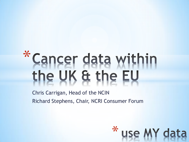# \*Cancer data within<br>the UK & the EU

Chris Carrigan, Head of the NCIN Richard Stephens, Chair, NCRI Consumer Forum

\* use MY data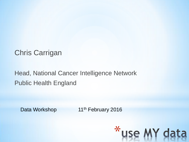

#### Chris Carrigan

#### Head, National Cancer Intelligence Network Public Health England

Data Workshop 11<sup>th</sup> February 2016

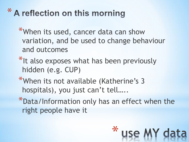## \* A reflection on this morning

- \*When its used, cancer data can show variation, and be used to change behaviour and outcomes
- \*It also exposes what has been previously hidden (e.g. CUP)
- \*When its not available (Katherine's 3 hospitals), you just can't tell…..
- \*Data/Information only has an effect when the right people have it

\*

use MY dat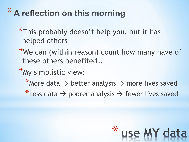## \* A reflection on this morning

\*This probably doesn't help you, but it has helped others

- \*We can (within reason) count how many have of these others benefited…
- \*My simplistic view:
	- \*More data  $\rightarrow$  better analysis  $\rightarrow$  more lives saved
	- \*Less data  $\rightarrow$  poorer analysis  $\rightarrow$  fewer lives saved

\*

use MY dat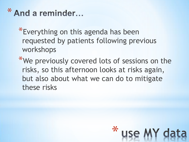### \* And a reminder...

- \*Everything on this agenda has been requested by patients following previous workshops
- \*We previously covered lots of sessions on the risks, so this afternoon looks at risks again, but also about what we can do to mitigate these risks

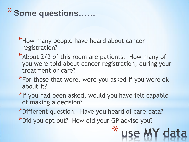\* Some questions......

\*How many people have heard about cancer registration?

- \*About 2/3 of this room are patients. How many of you were told about cancer registration, during your treatment or care?
- \*For those that were, were you asked if you were ok about it?
- \*If you had been asked, would you have felt capable of making a decision?
- \*Different question. Have you heard of care.data? \*Did you opt out? How did your GP advise you?

\*

use MY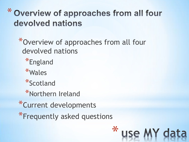### \* Overview of approaches from all four devolved nations

\*Overview of approaches from all four devolved nations

 $\star$ 

use MY dat

\*England

\*Wales

\*Scotland

\*Northern Ireland

\*Current developments

\*Frequently asked questions